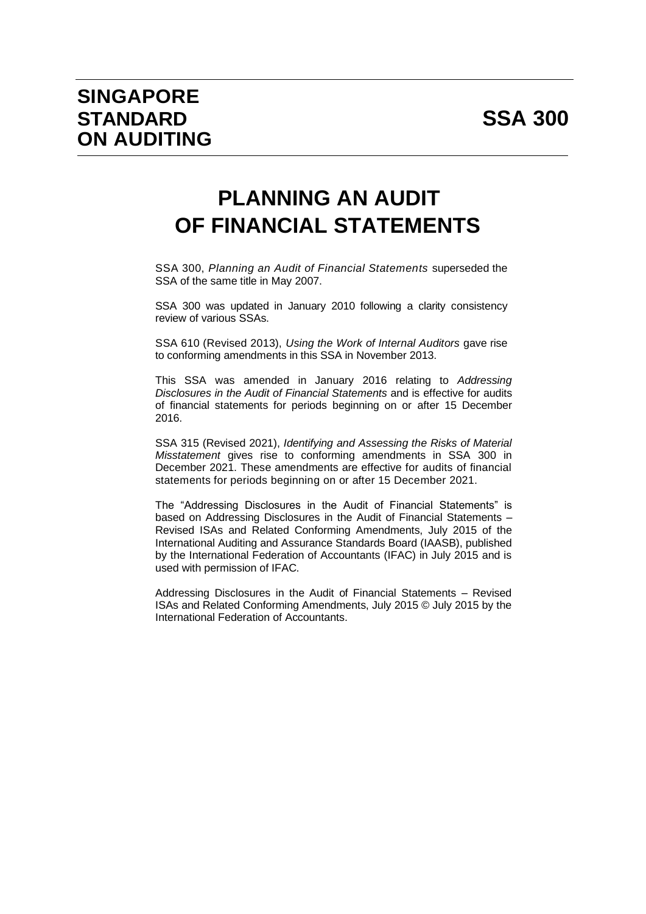# **PLANNING AN AUDIT OF FINANCIAL STATEMENTS**

SSA 300, *Planning an Audit of Financial Statements* superseded the SSA of the same title in May 2007.

SSA 300 was updated in January 2010 following a clarity consistency review of various SSAs.

SSA 610 (Revised 2013), *Using the Work of Internal Auditors* gave rise to conforming amendments in this SSA in November 2013.

This SSA was amended in January 2016 relating to *Addressing Disclosures in the Audit of Financial Statements* and is effective for audits of financial statements for periods beginning on or after 15 December 2016.

SSA 315 (Revised 2021), *Identifying and Assessing the Risks of Material Misstatement* gives rise to conforming amendments in SSA 300 in December 2021. These amendments are effective for audits of financial statements for periods beginning on or after 15 December 2021.

The "Addressing Disclosures in the Audit of Financial Statements" is based on Addressing Disclosures in the Audit of Financial Statements – Revised ISAs and Related Conforming Amendments, July 2015 of the International Auditing and Assurance Standards Board (IAASB), published by the International Federation of Accountants (IFAC) in July 2015 and is used with permission of IFAC.

Addressing Disclosures in the Audit of Financial Statements – Revised ISAs and Related Conforming Amendments, July 2015 © July 2015 by the International Federation of Accountants.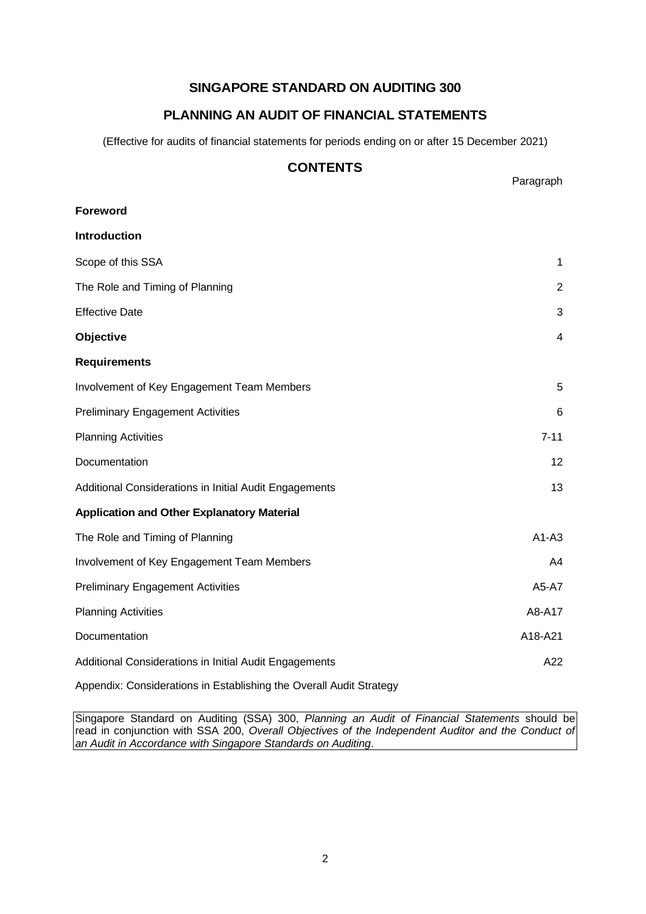#### **SINGAPORE STANDARD ON AUDITING 300**

#### **PLANNING AN AUDIT OF FINANCIAL STATEMENTS**

(Effective for audits of financial statements for periods ending on or after 15 December 2021)

#### **CONTENTS**

**Foreword** 

Paragraph

| Introduction                                                        |              |
|---------------------------------------------------------------------|--------------|
| Scope of this SSA                                                   | $\mathbf{1}$ |
| The Role and Timing of Planning                                     | 2            |
| <b>Effective Date</b>                                               | 3            |
| Objective                                                           | 4            |
| <b>Requirements</b>                                                 |              |
| Involvement of Key Engagement Team Members                          | 5            |
| <b>Preliminary Engagement Activities</b>                            | 6            |
| <b>Planning Activities</b>                                          | $7 - 11$     |
| Documentation                                                       | 12           |
| Additional Considerations in Initial Audit Engagements              | 13           |
| <b>Application and Other Explanatory Material</b>                   |              |
| The Role and Timing of Planning                                     | $A1-A3$      |
| Involvement of Key Engagement Team Members                          | A4           |
| <b>Preliminary Engagement Activities</b>                            | A5-A7        |
| <b>Planning Activities</b>                                          | A8-A17       |
| Documentation                                                       | A18-A21      |
| Additional Considerations in Initial Audit Engagements              | A22          |
| Appendix: Considerations in Establishing the Overall Audit Strategy |              |

Singapore Standard on Auditing (SSA) 300, *Planning an Audit of Financial Statements* should be read in conjunction with SSA 200, *Overall Objectives of the Independent Auditor and the Conduct of an Audit in Accordance with Singapore Standards on Auditing*.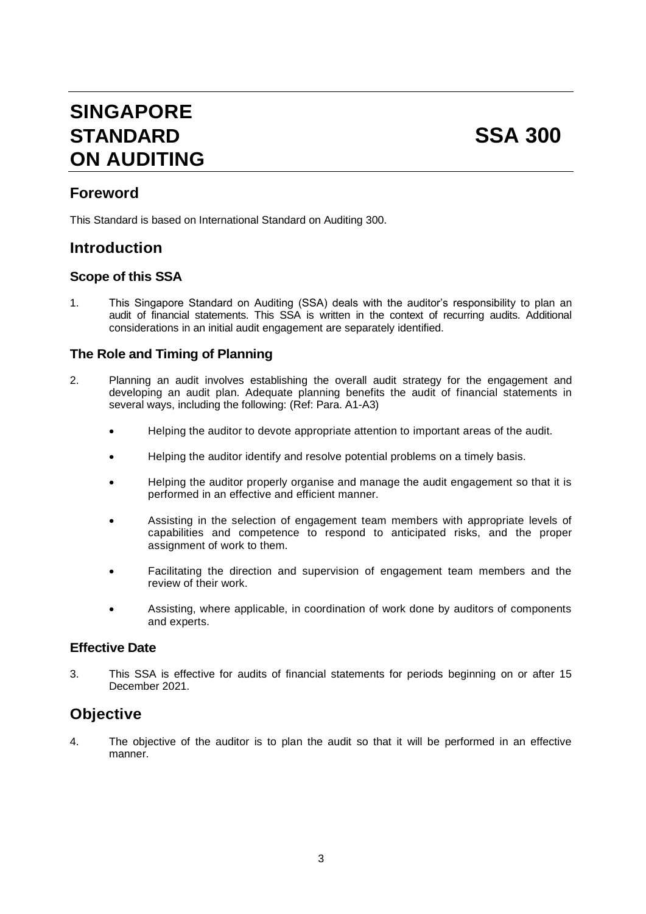# **SINGAPORE STANDARD SSA 300 ON AUDITING**

### **Foreword**

This Standard is based on International Standard on Auditing 300.

#### **Introduction**

#### **Scope of this SSA**

1. This Singapore Standard on Auditing (SSA) deals with the auditor's responsibility to plan an audit of financial statements. This SSA is written in the context of recurring audits. Additional considerations in an initial audit engagement are separately identified.

#### **The Role and Timing of Planning**

- 2. Planning an audit involves establishing the overall audit strategy for the engagement and developing an audit plan. Adequate planning benefits the audit of financial statements in several ways, including the following: (Ref: Para. A1-A3)
	- Helping the auditor to devote appropriate attention to important areas of the audit.
	- Helping the auditor identify and resolve potential problems on a timely basis.
	- Helping the auditor properly organise and manage the audit engagement so that it is performed in an effective and efficient manner.
	- Assisting in the selection of engagement team members with appropriate levels of capabilities and competence to respond to anticipated risks, and the proper assignment of work to them.
	- Facilitating the direction and supervision of engagement team members and the review of their work.
	- Assisting, where applicable, in coordination of work done by auditors of components and experts.

#### **Effective Date**

3. This SSA is effective for audits of financial statements for periods beginning on or after 15 December 2021.

## **Objective**

4. The objective of the auditor is to plan the audit so that it will be performed in an effective manner.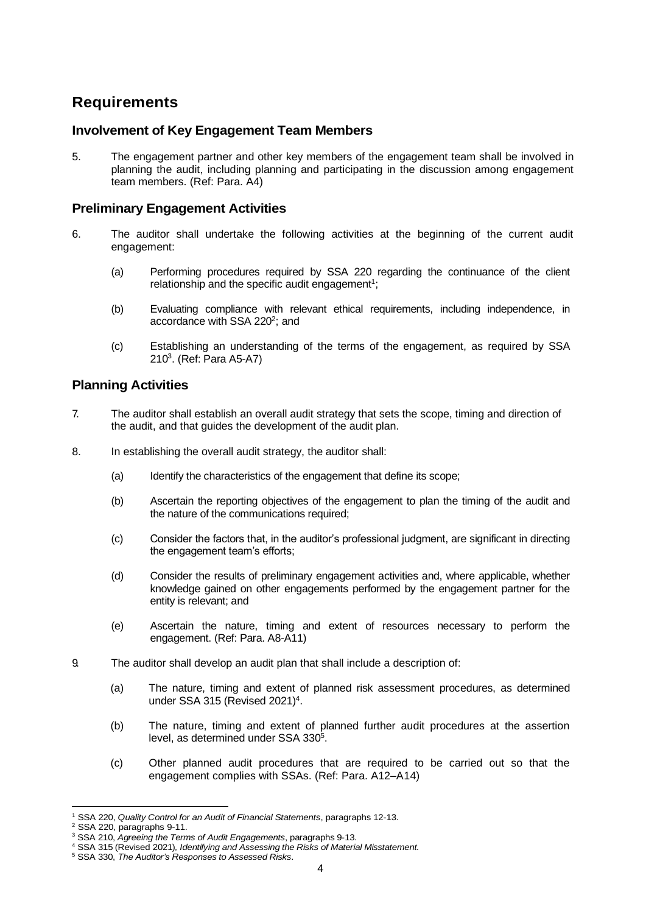## **Requirements**

#### **Involvement of Key Engagement Team Members**

5. The engagement partner and other key members of the engagement team shall be involved in planning the audit, including planning and participating in the discussion among engagement team members. (Ref: Para. A4)

#### **Preliminary Engagement Activities**

- 6. The auditor shall undertake the following activities at the beginning of the current audit engagement:
	- (a) Performing procedures required by SSA 220 regarding the continuance of the client relationship and the specific audit engagement<sup>1</sup>;
	- (b) Evaluating compliance with relevant ethical requirements, including independence, in accordance with SSA 220<sup>2</sup>; and
	- (c) Establishing an understanding of the terms of the engagement, as required by SSA 210<sup>3</sup>. (Ref: Para A5-A7)

#### **Planning Activities**

- 7. The auditor shall establish an overall audit strategy that sets the scope, timing and direction of the audit, and that guides the development of the audit plan.
- 8. In establishing the overall audit strategy, the auditor shall:
	- (a) Identify the characteristics of the engagement that define its scope;
	- (b) Ascertain the reporting objectives of the engagement to plan the timing of the audit and the nature of the communications required;
	- (c) Consider the factors that, in the auditor's professional judgment, are significant in directing the engagement team's efforts;
	- (d) Consider the results of preliminary engagement activities and, where applicable, whether knowledge gained on other engagements performed by the engagement partner for the entity is relevant; and
	- (e) Ascertain the nature, timing and extent of resources necessary to perform the engagement. (Ref: Para. A8-A11)
- 9. The auditor shall develop an audit plan that shall include a description of:
	- (a) The nature, timing and extent of planned risk assessment procedures, as determined under SSA 315 (Revised 2021)<sup>4</sup>.
	- (b) The nature, timing and extent of planned further audit procedures at the assertion level, as determined under SSA 330<sup>5</sup>.
	- (c) Other planned audit procedures that are required to be carried out so that the engagement complies with SSAs. (Ref: Para. A12–A14)

<sup>1</sup> SSA 220, *Quality Control for an Audit of Financial Statements*, paragraphs 12-13.

<sup>2</sup> SSA 220, paragraphs 9-11.

<sup>3</sup> SSA 210, *Agreeing the Terms of Audit Engagements*, paragraphs 9-13.

<sup>4</sup> SSA 315 (Revised 2021)*, Identifying and Assessing the Risks of Material Misstatement.*

<sup>5</sup> SSA 330, *The Auditor's Responses to Assessed Risks*.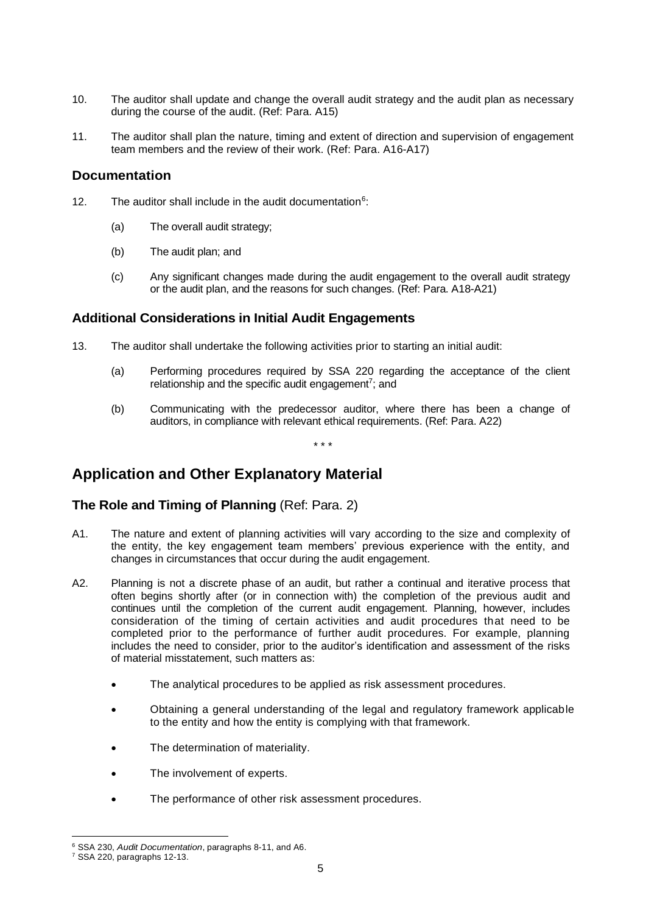- 10. The auditor shall update and change the overall audit strategy and the audit plan as necessary during the course of the audit. (Ref: Para. A15)
- 11. The auditor shall plan the nature, timing and extent of direction and supervision of engagement team members and the review of their work. (Ref: Para. A16-A17)

#### **Documentation**

- 12. The auditor shall include in the audit documentation $6$ :
	- (a) The overall audit strategy;
	- (b) The audit plan; and
	- (c) Any significant changes made during the audit engagement to the overall audit strategy or the audit plan, and the reasons for such changes. (Ref: Para. A18-A21)

#### **Additional Considerations in Initial Audit Engagements**

- 13. The auditor shall undertake the following activities prior to starting an initial audit:
	- (a) Performing procedures required by SSA 220 regarding the acceptance of the client relationship and the specific audit engagement<sup>7</sup>; and
	- (b) Communicating with the predecessor auditor, where there has been a change of auditors, in compliance with relevant ethical requirements. (Ref: Para. A22)

# **Application and Other Explanatory Material**

#### **The Role and Timing of Planning** (Ref: Para. 2)

A1. The nature and extent of planning activities will vary according to the size and complexity of the entity, the key engagement team members' previous experience with the entity, and changes in circumstances that occur during the audit engagement.

\* \* \*

- A2. Planning is not a discrete phase of an audit, but rather a continual and iterative process that often begins shortly after (or in connection with) the completion of the previous audit and continues until the completion of the current audit engagement. Planning, however, includes consideration of the timing of certain activities and audit procedures that need to be completed prior to the performance of further audit procedures. For example, planning includes the need to consider, prior to the auditor's identification and assessment of the risks of material misstatement, such matters as:
	- The analytical procedures to be applied as risk assessment procedures.
	- Obtaining a general understanding of the legal and regulatory framework applicable to the entity and how the entity is complying with that framework.
	- The determination of materiality.
	- The involvement of experts.
	- The performance of other risk assessment procedures.

<sup>6</sup> SSA 230, *Audit Documentation*, paragraphs 8-11, and A6.

<sup>7</sup> SSA 220, paragraphs 12-13.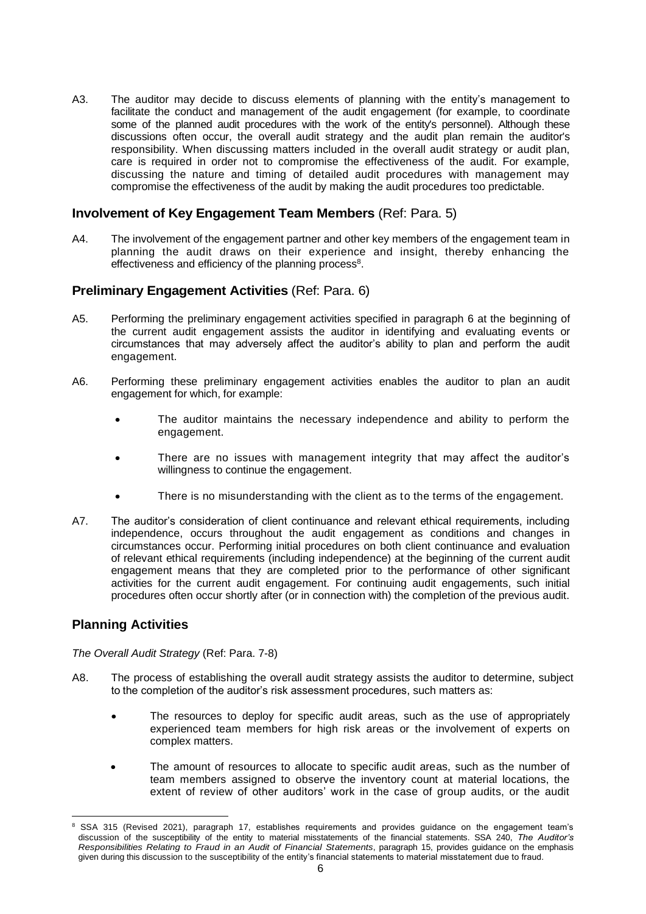A3. The auditor may decide to discuss elements of planning with the entity's management to facilitate the conduct and management of the audit engagement (for example, to coordinate some of the planned audit procedures with the work of the entity's personnel). Although these discussions often occur, the overall audit strategy and the audit plan remain the auditor's responsibility. When discussing matters included in the overall audit strategy or audit plan, care is required in order not to compromise the effectiveness of the audit. For example, discussing the nature and timing of detailed audit procedures with management may compromise the effectiveness of the audit by making the audit procedures too predictable.

#### **Involvement of Key Engagement Team Members** (Ref: Para. 5)

A4. The involvement of the engagement partner and other key members of the engagement team in planning the audit draws on their experience and insight, thereby enhancing the effectiveness and efficiency of the planning process<sup>8</sup>.

#### **Preliminary Engagement Activities** (Ref: Para. 6)

- A5. Performing the preliminary engagement activities specified in paragraph 6 at the beginning of the current audit engagement assists the auditor in identifying and evaluating events or circumstances that may adversely affect the auditor's ability to plan and perform the audit engagement.
- A6. Performing these preliminary engagement activities enables the auditor to plan an audit engagement for which, for example:
	- The auditor maintains the necessary independence and ability to perform the engagement.
	- There are no issues with management integrity that may affect the auditor's willingness to continue the engagement.
	- There is no misunderstanding with the client as to the terms of the engagement.
- A7. The auditor's consideration of client continuance and relevant ethical requirements, including independence, occurs throughout the audit engagement as conditions and changes in circumstances occur. Performing initial procedures on both client continuance and evaluation of relevant ethical requirements (including independence) at the beginning of the current audit engagement means that they are completed prior to the performance of other significant activities for the current audit engagement. For continuing audit engagements, such initial procedures often occur shortly after (or in connection with) the completion of the previous audit.

#### **Planning Activities**

*The Overall Audit Strategy* (Ref: Para. 7-8)

- A8. The process of establishing the overall audit strategy assists the auditor to determine, subject to the completion of the auditor's risk assessment procedures, such matters as:
	- The resources to deploy for specific audit areas, such as the use of appropriately experienced team members for high risk areas or the involvement of experts on complex matters.
	- The amount of resources to allocate to specific audit areas, such as the number of team members assigned to observe the inventory count at material locations, the extent of review of other auditors' work in the case of group audits, or the audit

<sup>8</sup> SSA 315 (Revised 2021), paragraph 17, establishes requirements and provides guidance on the engagement team's discussion of the susceptibility of the entity to material misstatements of the financial statements. SSA 240, *The Auditor's Responsibilities Relating to Fraud in an Audit of Financial Statements*, paragraph 15, provides guidance on the emphasis given during this discussion to the susceptibility of the entity's financial statements to material misstatement due to fraud.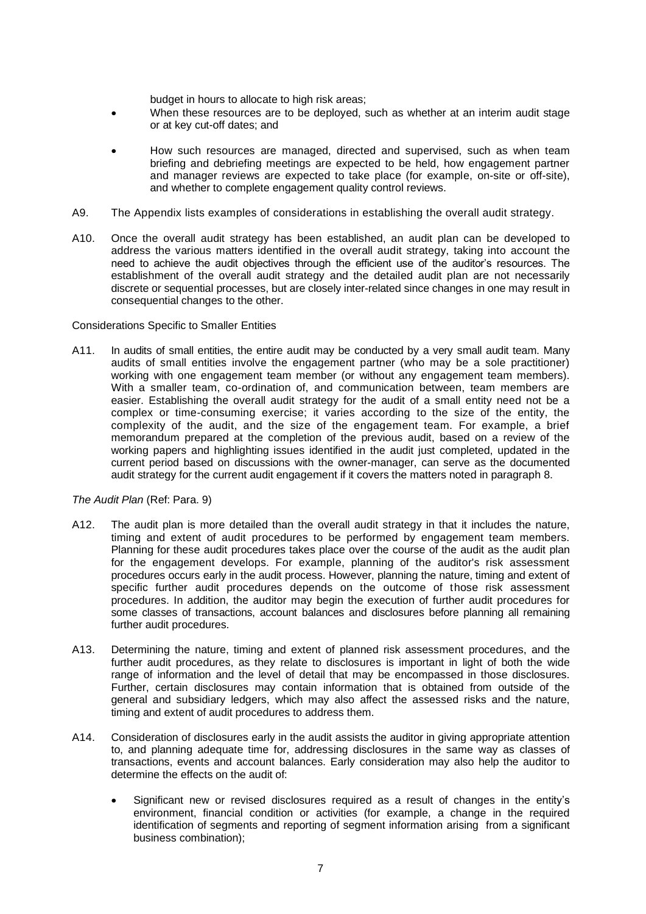budget in hours to allocate to high risk areas;

- When these resources are to be deployed, such as whether at an interim audit stage or at key cut-off dates; and
- How such resources are managed, directed and supervised, such as when team briefing and debriefing meetings are expected to be held, how engagement partner and manager reviews are expected to take place (for example, on-site or off-site), and whether to complete engagement quality control reviews.
- A9. The Appendix lists examples of considerations in establishing the overall audit strategy.
- A10. Once the overall audit strategy has been established, an audit plan can be developed to address the various matters identified in the overall audit strategy, taking into account the need to achieve the audit objectives through the efficient use of the auditor's resources. The establishment of the overall audit strategy and the detailed audit plan are not necessarily discrete or sequential processes, but are closely inter-related since changes in one may result in consequential changes to the other.

#### Considerations Specific to Smaller Entities

A11. In audits of small entities, the entire audit may be conducted by a very small audit team. Many audits of small entities involve the engagement partner (who may be a sole practitioner) working with one engagement team member (or without any engagement team members). With a smaller team, co-ordination of, and communication between, team members are easier. Establishing the overall audit strategy for the audit of a small entity need not be a complex or time-consuming exercise; it varies according to the size of the entity, the complexity of the audit, and the size of the engagement team. For example, a brief memorandum prepared at the completion of the previous audit, based on a review of the working papers and highlighting issues identified in the audit just completed, updated in the current period based on discussions with the owner-manager, can serve as the documented audit strategy for the current audit engagement if it covers the matters noted in paragraph 8.

*The Audit Plan* (Ref: Para. 9)

- A12. The audit plan is more detailed than the overall audit strategy in that it includes the nature, timing and extent of audit procedures to be performed by engagement team members. Planning for these audit procedures takes place over the course of the audit as the audit plan for the engagement develops. For example, planning of the auditor's risk assessment procedures occurs early in the audit process. However, planning the nature, timing and extent of specific further audit procedures depends on the outcome of those risk assessment procedures. In addition, the auditor may begin the execution of further audit procedures for some classes of transactions, account balances and disclosures before planning all remaining further audit procedures.
- A13. Determining the nature, timing and extent of planned risk assessment procedures, and the further audit procedures, as they relate to disclosures is important in light of both the wide range of information and the level of detail that may be encompassed in those disclosures. Further, certain disclosures may contain information that is obtained from outside of the general and subsidiary ledgers, which may also affect the assessed risks and the nature, timing and extent of audit procedures to address them.
- A14. Consideration of disclosures early in the audit assists the auditor in giving appropriate attention to, and planning adequate time for, addressing disclosures in the same way as classes of transactions, events and account balances. Early consideration may also help the auditor to determine the effects on the audit of:
	- Significant new or revised disclosures required as a result of changes in the entity's environment, financial condition or activities (for example, a change in the required identification of segments and reporting of segment information arising from a significant business combination);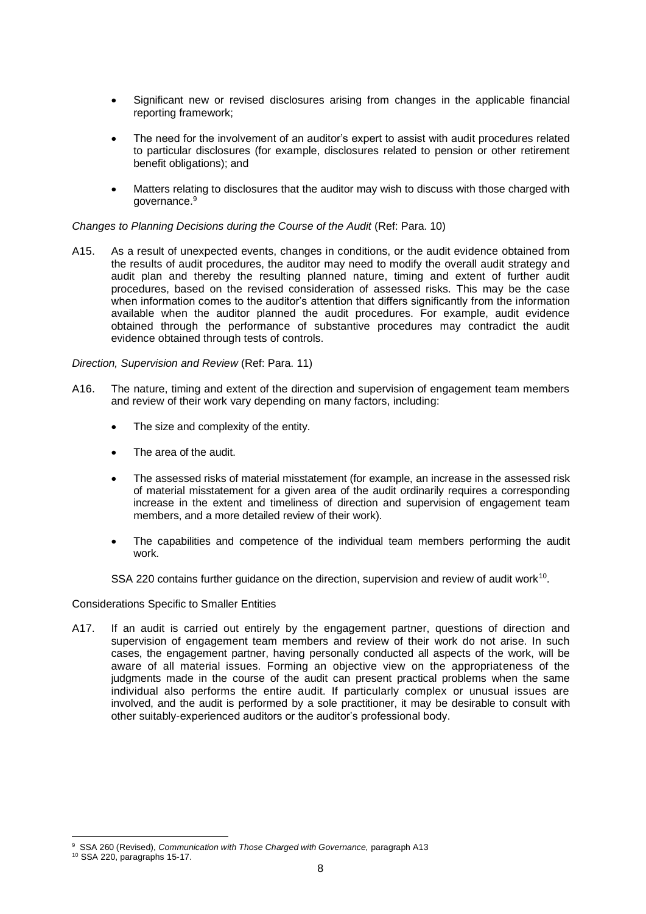- Significant new or revised disclosures arising from changes in the applicable financial reporting framework;
- The need for the involvement of an auditor's expert to assist with audit procedures related to particular disclosures (for example, disclosures related to pension or other retirement benefit obligations); and
- Matters relating to disclosures that the auditor may wish to discuss with those charged with governance.<sup>9</sup>

#### *Changes to Planning Decisions during the Course of the Audit (Ref: Para. 10)*

A15. As a result of unexpected events, changes in conditions, or the audit evidence obtained from the results of audit procedures, the auditor may need to modify the overall audit strategy and audit plan and thereby the resulting planned nature, timing and extent of further audit procedures, based on the revised consideration of assessed risks. This may be the case when information comes to the auditor's attention that differs significantly from the information available when the auditor planned the audit procedures. For example, audit evidence obtained through the performance of substantive procedures may contradict the audit evidence obtained through tests of controls.

#### *Direction, Supervision and Review* (Ref: Para. 11)

- A16. The nature, timing and extent of the direction and supervision of engagement team members and review of their work vary depending on many factors, including:
	- The size and complexity of the entity.
	- The area of the audit.
	- The assessed risks of material misstatement (for example, an increase in the assessed risk of material misstatement for a given area of the audit ordinarily requires a corresponding increase in the extent and timeliness of direction and supervision of engagement team members, and a more detailed review of their work).
	- The capabilities and competence of the individual team members performing the audit work.

SSA 220 contains further guidance on the direction, supervision and review of audit work<sup>10</sup>.

#### Considerations Specific to Smaller Entities

A17. If an audit is carried out entirely by the engagement partner, questions of direction and supervision of engagement team members and review of their work do not arise. In such cases, the engagement partner, having personally conducted all aspects of the work, will be aware of all material issues. Forming an objective view on the appropriateness of the judgments made in the course of the audit can present practical problems when the same individual also performs the entire audit. If particularly complex or unusual issues are involved, and the audit is performed by a sole practitioner, it may be desirable to consult with other suitably-experienced auditors or the auditor's professional body.

<sup>9</sup> SSA 260 (Revised), *Communication with Those Charged with Governance,* paragraph A13

<sup>10</sup> SSA 220, paragraphs 15-17.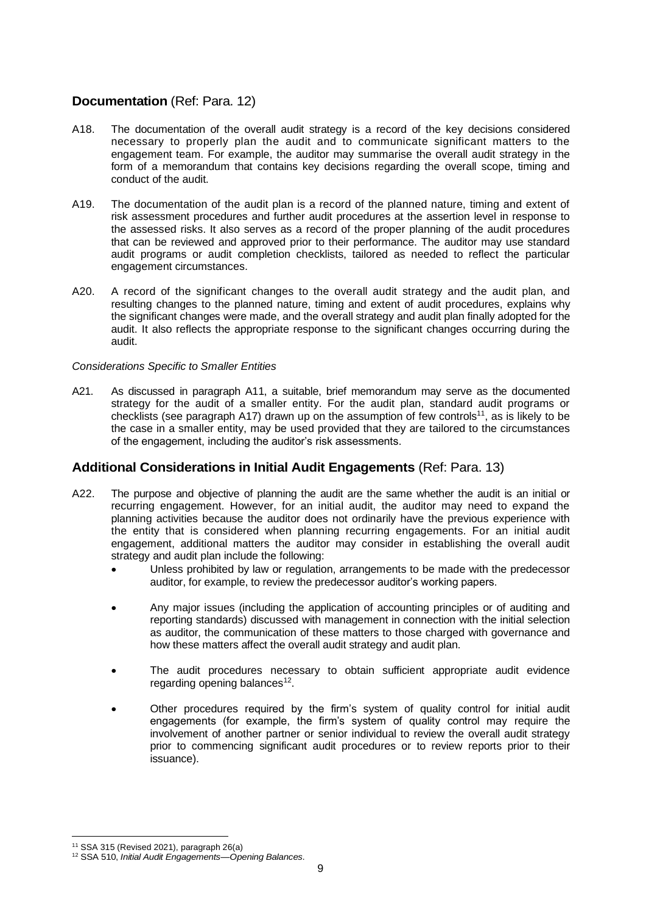#### **Documentation** (Ref: Para. 12)

- A18. The documentation of the overall audit strategy is a record of the key decisions considered necessary to properly plan the audit and to communicate significant matters to the engagement team. For example, the auditor may summarise the overall audit strategy in the form of a memorandum that contains key decisions regarding the overall scope, timing and conduct of the audit.
- A19. The documentation of the audit plan is a record of the planned nature, timing and extent of risk assessment procedures and further audit procedures at the assertion level in response to the assessed risks. It also serves as a record of the proper planning of the audit procedures that can be reviewed and approved prior to their performance. The auditor may use standard audit programs or audit completion checklists, tailored as needed to reflect the particular engagement circumstances.
- A20. A record of the significant changes to the overall audit strategy and the audit plan, and resulting changes to the planned nature, timing and extent of audit procedures, explains why the significant changes were made, and the overall strategy and audit plan finally adopted for the audit. It also reflects the appropriate response to the significant changes occurring during the audit.

#### *Considerations Specific to Smaller Entities*

A21. As discussed in paragraph A11, a suitable, brief memorandum may serve as the documented strategy for the audit of a smaller entity. For the audit plan, standard audit programs or checklists (see paragraph A17) drawn up on the assumption of few controls<sup>11</sup>, as is likely to be the case in a smaller entity, may be used provided that they are tailored to the circumstances of the engagement, including the auditor's risk assessments.

#### **Additional Considerations in Initial Audit Engagements** (Ref: Para. 13)

- A22. The purpose and objective of planning the audit are the same whether the audit is an initial or recurring engagement. However, for an initial audit, the auditor may need to expand the planning activities because the auditor does not ordinarily have the previous experience with the entity that is considered when planning recurring engagements. For an initial audit engagement, additional matters the auditor may consider in establishing the overall audit strategy and audit plan include the following:
	- Unless prohibited by law or regulation, arrangements to be made with the predecessor auditor, for example, to review the predecessor auditor's working papers.
	- Any major issues (including the application of accounting principles or of auditing and reporting standards) discussed with management in connection with the initial selection as auditor, the communication of these matters to those charged with governance and how these matters affect the overall audit strategy and audit plan.
	- The audit procedures necessary to obtain sufficient appropriate audit evidence regarding opening balances<sup>12</sup>.
	- Other procedures required by the firm's system of quality control for initial audit engagements (for example, the firm's system of quality control may require the involvement of another partner or senior individual to review the overall audit strategy prior to commencing significant audit procedures or to review reports prior to their issuance).

 $11$  SSA 315 (Revised 2021), paragraph 26(a)

<sup>12</sup> SSA 510, *Initial Audit Engagements—Opening Balances*.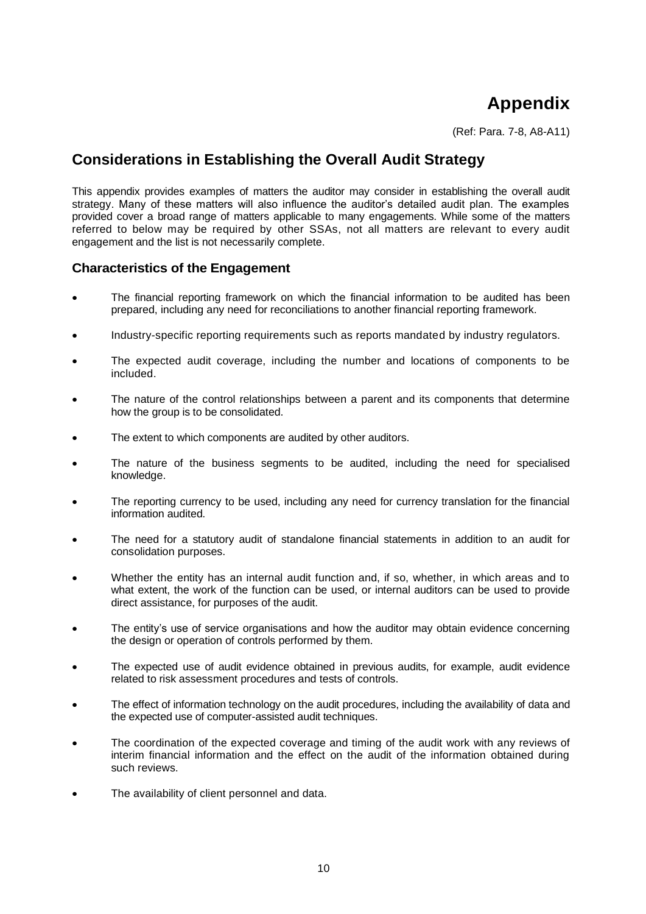# **Appendix**

(Ref: Para. 7-8, A8-A11)

# **Considerations in Establishing the Overall Audit Strategy**

This appendix provides examples of matters the auditor may consider in establishing the overall audit strategy. Many of these matters will also influence the auditor's detailed audit plan. The examples provided cover a broad range of matters applicable to many engagements. While some of the matters referred to below may be required by other SSAs, not all matters are relevant to every audit engagement and the list is not necessarily complete.

#### **Characteristics of the Engagement**

- The financial reporting framework on which the financial information to be audited has been prepared, including any need for reconciliations to another financial reporting framework.
- Industry-specific reporting requirements such as reports mandated by industry regulators.
- The expected audit coverage, including the number and locations of components to be included.
- The nature of the control relationships between a parent and its components that determine how the group is to be consolidated.
- The extent to which components are audited by other auditors.
- The nature of the business segments to be audited, including the need for specialised knowledge.
- The reporting currency to be used, including any need for currency translation for the financial information audited.
- The need for a statutory audit of standalone financial statements in addition to an audit for consolidation purposes.
- Whether the entity has an internal audit function and, if so, whether, in which areas and to what extent, the work of the function can be used, or internal auditors can be used to provide direct assistance, for purposes of the audit.
- The entity's use of service organisations and how the auditor may obtain evidence concerning the design or operation of controls performed by them.
- The expected use of audit evidence obtained in previous audits, for example, audit evidence related to risk assessment procedures and tests of controls.
- The effect of information technology on the audit procedures, including the availability of data and the expected use of computer-assisted audit techniques.
- The coordination of the expected coverage and timing of the audit work with any reviews of interim financial information and the effect on the audit of the information obtained during such reviews.
- The availability of client personnel and data.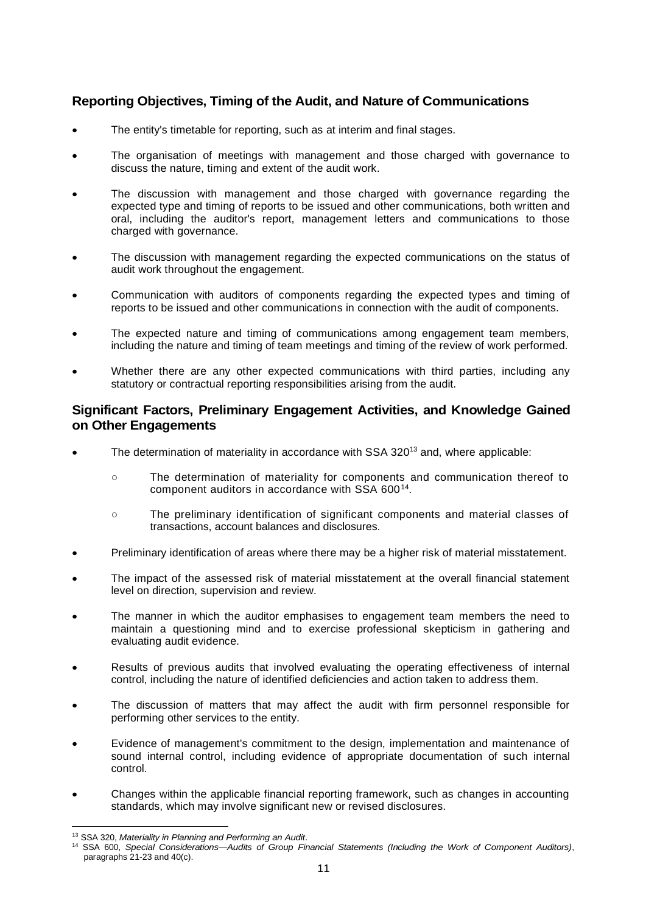### **Reporting Objectives, Timing of the Audit, and Nature of Communications**

- The entity's timetable for reporting, such as at interim and final stages.
- The organisation of meetings with management and those charged with governance to discuss the nature, timing and extent of the audit work.
- The discussion with management and those charged with governance regarding the expected type and timing of reports to be issued and other communications, both written and oral, including the auditor's report, management letters and communications to those charged with governance.
- The discussion with management regarding the expected communications on the status of audit work throughout the engagement.
- Communication with auditors of components regarding the expected types and timing of reports to be issued and other communications in connection with the audit of components.
- The expected nature and timing of communications among engagement team members, including the nature and timing of team meetings and timing of the review of work performed.
- Whether there are any other expected communications with third parties, including any statutory or contractual reporting responsibilities arising from the audit.

#### **Significant Factors, Preliminary Engagement Activities, and Knowledge Gained on Other Engagements**

- The determination of materiality in accordance with SSA 320<sup>13</sup> and, where applicable:
	- The determination of materiality for components and communication thereof to component auditors in accordance with SSA 600 $^{14}$ .
	- The preliminary identification of significant components and material classes of transactions, account balances and disclosures.
- Preliminary identification of areas where there may be a higher risk of material misstatement.
- The impact of the assessed risk of material misstatement at the overall financial statement level on direction, supervision and review.
- The manner in which the auditor emphasises to engagement team members the need to maintain a questioning mind and to exercise professional skepticism in gathering and evaluating audit evidence.
- Results of previous audits that involved evaluating the operating effectiveness of internal control, including the nature of identified deficiencies and action taken to address them.
- The discussion of matters that may affect the audit with firm personnel responsible for performing other services to the entity.
- Evidence of management's commitment to the design, implementation and maintenance of sound internal control, including evidence of appropriate documentation of such internal control.
- Changes within the applicable financial reporting framework, such as changes in accounting standards, which may involve significant new or revised disclosures.

<sup>13</sup> SSA 320, *Materiality in Planning and Performing an Audit*.

<sup>14</sup> SSA 600, *Special Considerations—Audits of Group Financial Statements (Including the Work of Component Auditors)*, paragraphs 21-23 and 40(c).